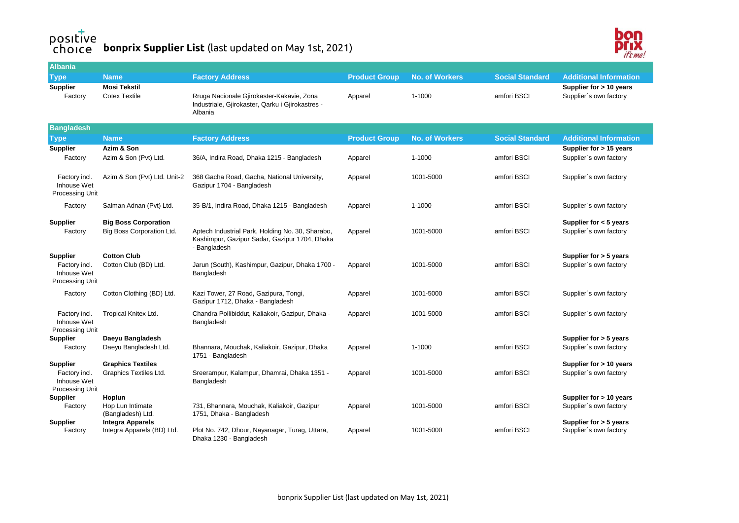## **bonprix Supplier List** (last updated on May 1st, 2021)



| <b>Albania</b>                                                     |                                                          |                                                                                                                   |                      |                       |                        |                                                    |
|--------------------------------------------------------------------|----------------------------------------------------------|-------------------------------------------------------------------------------------------------------------------|----------------------|-----------------------|------------------------|----------------------------------------------------|
| <b>Type</b>                                                        | <b>Name</b>                                              | <b>Factory Address</b>                                                                                            | <b>Product Group</b> | <b>No. of Workers</b> | <b>Social Standard</b> | <b>Additional Information</b>                      |
| <b>Supplier</b><br>Factory                                         | <b>Mosi Tekstil</b><br><b>Cotex Textile</b>              | Rruga Nacionale Gjirokaster-Kakavie, Zona<br>Industriale, Gjirokaster, Qarku i Gjirokastres -<br>Albania          | Apparel              | 1-1000                | amfori BSCI            | Supplier for > 10 years<br>Supplier's own factory  |
| <b>Bangladesh</b>                                                  |                                                          |                                                                                                                   |                      |                       |                        |                                                    |
| <b>Type</b>                                                        | <b>Name</b>                                              | <b>Factory Address</b>                                                                                            | <b>Product Group</b> | <b>No. of Workers</b> | <b>Social Standard</b> | <b>Additional Information</b>                      |
| <b>Supplier</b><br>Factory                                         | Azim & Son<br>Azim & Son (Pvt) Ltd.                      | 36/A, Indira Road, Dhaka 1215 - Bangladesh                                                                        | Apparel              | 1-1000                | amfori BSCI            | Supplier for > 15 years<br>Supplier's own factory  |
| Factory incl.<br>Inhouse Wet<br>Processing Unit                    | Azim & Son (Pvt) Ltd. Unit-2                             | 368 Gacha Road, Gacha, National University,<br>Gazipur 1704 - Bangladesh                                          | Apparel              | 1001-5000             | amfori BSCI            | Supplier's own factory                             |
| Factory                                                            | Salman Adnan (Pvt) Ltd.                                  | 35-B/1, Indira Road, Dhaka 1215 - Bangladesh                                                                      | Apparel              | 1-1000                | amfori BSCI            | Supplier's own factory                             |
| <b>Supplier</b><br>Factory                                         | <b>Big Boss Corporation</b><br>Big Boss Corporation Ltd. | Aptech Industrial Park, Holding No. 30, Sharabo,<br>Kashimpur, Gazipur Sadar, Gazipur 1704, Dhaka<br>- Bangladesh | Apparel              | 1001-5000             | amfori BSCI            | Supplier for $<$ 5 years<br>Supplier's own factory |
| <b>Supplier</b><br>Factory incl.<br>Inhouse Wet<br>Processing Unit | <b>Cotton Club</b><br>Cotton Club (BD) Ltd.              | Jarun (South), Kashimpur, Gazipur, Dhaka 1700 -<br>Bangladesh                                                     | Apparel              | 1001-5000             | amfori BSCI            | Supplier for $>$ 5 years<br>Supplier's own factory |
| Factory                                                            | Cotton Clothing (BD) Ltd.                                | Kazi Tower, 27 Road, Gazipura, Tongi,<br>Gazipur 1712, Dhaka - Bangladesh                                         | Apparel              | 1001-5000             | amfori BSCI            | Supplier's own factory                             |
| Factory incl.<br>Inhouse Wet<br>Processing Unit                    | Tropical Knitex Ltd.                                     | Chandra Pollibiddut, Kaliakoir, Gazipur, Dhaka -<br>Bangladesh                                                    | Apparel              | 1001-5000             | amfori BSCI            | Supplier's own factory                             |
| <b>Supplier</b>                                                    | Daeyu Bangladesh                                         |                                                                                                                   |                      |                       |                        | Supplier for > 5 years                             |
| Factory                                                            | Daeyu Bangladesh Ltd.                                    | Bhannara, Mouchak, Kaliakoir, Gazipur, Dhaka<br>1751 - Bangladesh                                                 | Apparel              | 1-1000                | amfori BSCI            | Supplier's own factory                             |
| <b>Supplier</b>                                                    | <b>Graphics Textiles</b>                                 |                                                                                                                   |                      |                       |                        | Supplier for > 10 years                            |
| Factory incl.<br>Inhouse Wet<br>Processing Unit                    | Graphics Textiles Ltd.                                   | Sreerampur, Kalampur, Dhamrai, Dhaka 1351 -<br>Bangladesh                                                         | Apparel              | 1001-5000             | amfori BSCI            | Supplier's own factory                             |
| <b>Supplier</b>                                                    | Hoplun                                                   |                                                                                                                   |                      |                       |                        | Supplier for > 10 years                            |
| Factory                                                            | Hop Lun Intimate<br>(Bangladesh) Ltd.                    | 731, Bhannara, Mouchak, Kaliakoir, Gazipur<br>1751, Dhaka - Bangladesh                                            | Apparel              | 1001-5000             | amfori BSCI            | Supplier's own factory                             |
| <b>Supplier</b>                                                    | <b>Integra Apparels</b>                                  |                                                                                                                   |                      |                       |                        | Supplier for > 5 years                             |
| Factory                                                            | Integra Apparels (BD) Ltd.                               | Plot No. 742, Dhour, Nayanagar, Turag, Uttara,<br>Dhaka 1230 - Bangladesh                                         | Apparel              | 1001-5000             | amfori BSCI            | Supplier's own factory                             |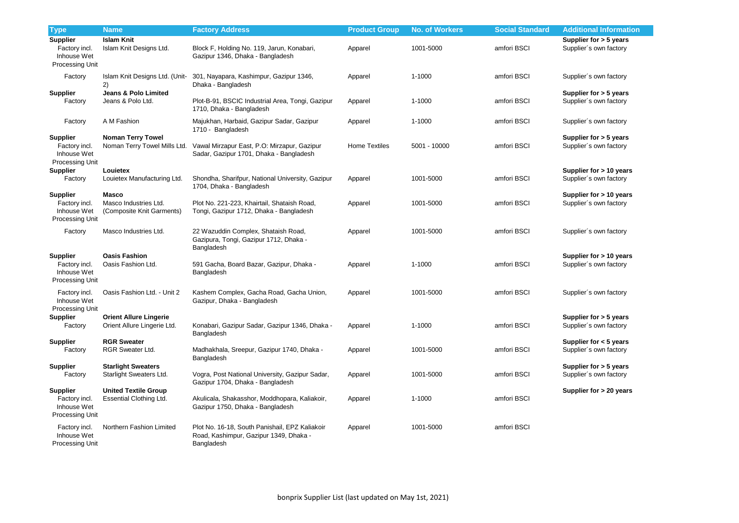| <b>Type</b>                                                               | <b>Name</b>                                                        | <b>Factory Address</b>                                                                                 | <b>Product Group</b> | <b>No. of Workers</b> | <b>Social Standard</b> | <b>Additional Information</b>                      |
|---------------------------------------------------------------------------|--------------------------------------------------------------------|--------------------------------------------------------------------------------------------------------|----------------------|-----------------------|------------------------|----------------------------------------------------|
| <b>Supplier</b><br>Factory incl.<br>Inhouse Wet<br>Processing Unit        | <b>Islam Knit</b><br>Islam Knit Designs Ltd.                       | Block F, Holding No. 119, Jarun, Konabari,<br>Gazipur 1346, Dhaka - Bangladesh                         | Apparel              | 1001-5000             | amfori BSCI            | Supplier for > 5 years<br>Supplier's own factory   |
| Factory                                                                   | Islam Knit Designs Ltd. (Unit-<br>2)                               | 301, Nayapara, Kashimpur, Gazipur 1346,<br>Dhaka - Bangladesh                                          | Apparel              | 1-1000                | amfori BSCI            | Supplier's own factory                             |
| <b>Supplier</b><br>Factory                                                | <b>Jeans &amp; Polo Limited</b><br>Jeans & Polo Ltd.               | Plot-B-91, BSCIC Industrial Area, Tongi, Gazipur<br>1710, Dhaka - Bangladesh                           | Apparel              | 1-1000                | amfori BSCI            | Supplier for > 5 years<br>Supplier's own factory   |
| Factory                                                                   | A M Fashion                                                        | Majukhan, Harbaid, Gazipur Sadar, Gazipur<br>1710 - Bangladesh                                         | Apparel              | $1 - 1000$            | amfori BSCI            | Supplier's own factory                             |
| <b>Supplier</b><br>Factory incl.<br>Inhouse Wet<br><b>Processing Unit</b> | <b>Noman Terry Towel</b><br>Noman Terry Towel Mills Ltd.           | Vawal Mirzapur East, P.O: Mirzapur, Gazipur<br>Sadar, Gazipur 1701, Dhaka - Bangladesh                 | <b>Home Textiles</b> | 5001 - 10000          | amfori BSCI            | Supplier for > 5 years<br>Supplier's own factory   |
| <b>Supplier</b><br>Factory                                                | Louietex<br>Louietex Manufacturing Ltd.                            | Shondha, Sharifpur, National University, Gazipur<br>1704, Dhaka - Bangladesh                           | Apparel              | 1001-5000             | amfori BSCI            | Supplier for > 10 years<br>Supplier's own factory  |
| <b>Supplier</b><br>Factory incl.<br>Inhouse Wet<br><b>Processing Unit</b> | <b>Masco</b><br>Masco Industries Ltd.<br>(Composite Knit Garments) | Plot No. 221-223, Khairtail, Shataish Road,<br>Tongi, Gazipur 1712, Dhaka - Bangladesh                 | Apparel              | 1001-5000             | amfori BSCI            | Supplier for > 10 years<br>Supplier's own factory  |
| Factory                                                                   | Masco Industries Ltd.                                              | 22 Wazuddin Complex, Shataish Road,<br>Gazipura, Tongi, Gazipur 1712, Dhaka -<br>Bangladesh            | Apparel              | 1001-5000             | amfori BSCI            | Supplier's own factory                             |
| <b>Supplier</b><br>Factory incl.<br>Inhouse Wet<br><b>Processing Unit</b> | <b>Oasis Fashion</b><br>Oasis Fashion Ltd.                         | 591 Gacha, Board Bazar, Gazipur, Dhaka -<br>Bangladesh                                                 | Apparel              | $1 - 1000$            | amfori BSCI            | Supplier for > 10 years<br>Supplier's own factory  |
| Factory incl.<br>Inhouse Wet<br>Processing Unit                           | Oasis Fashion Ltd. - Unit 2                                        | Kashem Complex, Gacha Road, Gacha Union,<br>Gazipur, Dhaka - Bangladesh                                | Apparel              | 1001-5000             | amfori BSCI            | Supplier's own factory                             |
| <b>Supplier</b><br>Factory                                                | <b>Orient Allure Lingerie</b><br>Orient Allure Lingerie Ltd.       | Konabari, Gazipur Sadar, Gazipur 1346, Dhaka -<br>Bangladesh                                           | Apparel              | $1 - 1000$            | amfori BSCI            | Supplier for > 5 years<br>Supplier's own factory   |
| <b>Supplier</b><br>Factory                                                | <b>RGR Sweater</b><br><b>RGR Sweater Ltd.</b>                      | Madhakhala, Sreepur, Gazipur 1740, Dhaka -<br>Bangladesh                                               | Apparel              | 1001-5000             | amfori BSCI            | Supplier for $<$ 5 years<br>Supplier's own factory |
| <b>Supplier</b><br>Factory                                                | <b>Starlight Sweaters</b><br>Starlight Sweaters Ltd.               | Vogra, Post National University, Gazipur Sadar,<br>Gazipur 1704, Dhaka - Bangladesh                    | Apparel              | 1001-5000             | amfori BSCI            | Supplier for > 5 years<br>Supplier's own factory   |
| <b>Supplier</b><br>Factory incl.<br>Inhouse Wet<br>Processing Unit        | <b>United Textile Group</b><br>Essential Clothing Ltd.             | Akulicala, Shakasshor, Moddhopara, Kaliakoir,<br>Gazipur 1750, Dhaka - Bangladesh                      | Apparel              | $1 - 1000$            | amfori BSCI            | Supplier for > 20 years                            |
| Factory incl.<br>Inhouse Wet<br>Processing Unit                           | Northern Fashion Limited                                           | Plot No. 16-18, South Panishail, EPZ Kaliakoir<br>Road, Kashimpur, Gazipur 1349, Dhaka -<br>Bangladesh | Apparel              | 1001-5000             | amfori BSCI            |                                                    |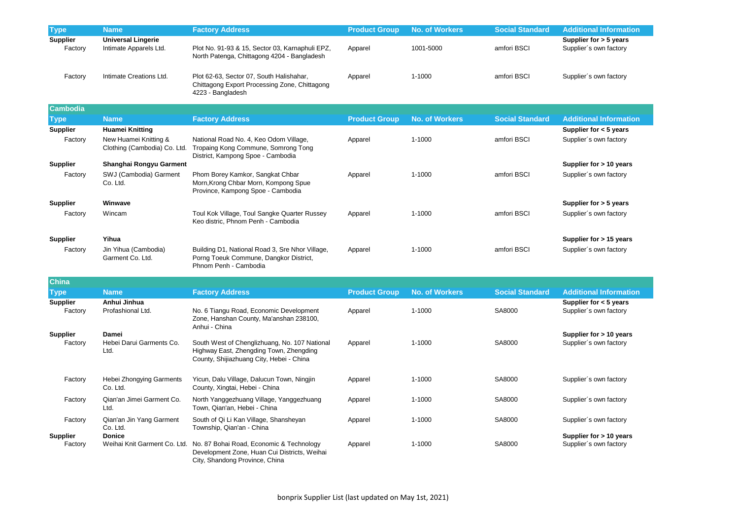| <b>Type</b>                | <b>Name</b>                                           | <b>Factory Address</b>                                                                                                               | <b>Product Group</b> | <b>No. of Workers</b> | <b>Social Standard</b> | <b>Additional Information</b>                      |
|----------------------------|-------------------------------------------------------|--------------------------------------------------------------------------------------------------------------------------------------|----------------------|-----------------------|------------------------|----------------------------------------------------|
| <b>Supplier</b><br>Factory | <b>Universal Lingerie</b><br>Intimate Apparels Ltd.   | Plot No. 91-93 & 15, Sector 03, Karnaphuli EPZ,<br>North Patenga, Chittagong 4204 - Bangladesh                                       | Apparel              | 1001-5000             | amfori BSCI            | Supplier for > 5 years<br>Supplier's own factory   |
| Factory                    | Intimate Creations Ltd.                               | Plot 62-63, Sector 07, South Halishahar,<br>Chittagong Export Processing Zone, Chittagong<br>4223 - Bangladesh                       | Apparel              | 1-1000                | amfori BSCI            | Supplier's own factory                             |
| <b>Cambodia</b>            |                                                       |                                                                                                                                      |                      |                       |                        |                                                    |
| <b>Type</b>                | <b>Name</b>                                           | <b>Factory Address</b>                                                                                                               | <b>Product Group</b> | <b>No. of Workers</b> | <b>Social Standard</b> | <b>Additional Information</b>                      |
| <b>Supplier</b>            | <b>Huamei Knitting</b>                                |                                                                                                                                      |                      |                       |                        | Supplier for $<$ 5 years                           |
| Factory                    | New Huamei Knitting &<br>Clothing (Cambodia) Co. Ltd. | National Road No. 4, Keo Odom Village,<br>Tropaing Kong Commune, Somrong Tong<br>District, Kampong Spoe - Cambodia                   | Apparel              | 1-1000                | amfori BSCI            | Supplier's own factory                             |
| <b>Supplier</b>            | Shanghai Rongyu Garment                               |                                                                                                                                      |                      |                       |                        | Supplier for > 10 years                            |
| Factory                    | SWJ (Cambodia) Garment<br>Co. Ltd.                    | Phom Borey Kamkor, Sangkat Chbar<br>Morn, Krong Chbar Morn, Kompong Spue<br>Province, Kampong Spoe - Cambodia                        | Apparel              | 1-1000                | amfori BSCI            | Supplier's own factory                             |
| <b>Supplier</b>            | Winwave                                               |                                                                                                                                      |                      |                       |                        | Supplier for > 5 years                             |
| Factory                    | Wincam                                                | Toul Kok Village, Toul Sangke Quarter Russey<br>Keo distric, Phnom Penh - Cambodia                                                   | Apparel              | 1-1000                | amfori BSCI            | Supplier's own factory                             |
| <b>Supplier</b>            | Yihua                                                 |                                                                                                                                      |                      |                       |                        | Supplier for > 15 years                            |
| Factory                    | Jin Yihua (Cambodia)<br>Garment Co. Ltd.              | Building D1, National Road 3, Sre Nhor Village,<br>Porng Toeuk Commune, Dangkor District,<br>Phnom Penh - Cambodia                   | Apparel              | 1-1000                | amfori BSCI            | Supplier's own factory                             |
| <b>China</b>               |                                                       |                                                                                                                                      |                      |                       |                        |                                                    |
| <b>Type</b>                | <b>Name</b>                                           | <b>Factory Address</b>                                                                                                               | <b>Product Group</b> | <b>No. of Workers</b> | <b>Social Standard</b> | <b>Additional Information</b>                      |
| <b>Supplier</b><br>Factory | Anhui Jinhua<br>Profashional Ltd.                     | No. 6 Tiangu Road, Economic Development<br>Zone, Hanshan County, Ma'anshan 238100,<br>Anhui - China                                  | Apparel              | 1-1000                | SA8000                 | Supplier for $<$ 5 years<br>Supplier's own factory |
| <b>Supplier</b>            | <b>Damei</b>                                          |                                                                                                                                      |                      |                       |                        | Supplier for > 10 years                            |
| Factory                    | Hebei Darui Garments Co.<br>Ltd.                      | South West of Chenglizhuang, No. 107 National<br>Highway East, Zhengding Town, Zhengding<br>County, Shijiazhuang City, Hebei - China | Apparel              | 1-1000                | SA8000                 | Supplier's own factory                             |
| Factory                    | <b>Hebei Zhongying Garments</b><br>Co. Ltd.           | Yicun, Dalu Village, Dalucun Town, Ningjin<br>County, Xingtai, Hebei - China                                                         | Apparel              | 1-1000                | SA8000                 | Supplier's own factory                             |
| Factory                    | Qian'an Jimei Garment Co.<br>Ltd.                     | North Yanggezhuang Village, Yanggezhuang<br>Town, Qian'an, Hebei - China                                                             | Apparel              | $1 - 1000$            | SA8000                 | Supplier's own factory                             |
| Factory                    | Qian'an Jin Yang Garment<br>Co. Ltd.                  | South of Qi Li Kan Village, Shansheyan<br>Township, Qian'an - China                                                                  | Apparel              | $1 - 1000$            | SA8000                 | Supplier's own factory                             |
| <b>Supplier</b><br>Factory | <b>Donice</b><br>Weihai Knit Garment Co. Ltd.         | No. 87 Bohai Road, Economic & Technology<br>Development Zone, Huan Cui Districts, Weihai<br>City, Shandong Province, China           | Apparel              | 1-1000                | SA8000                 | Supplier for > 10 years<br>Supplier's own factory  |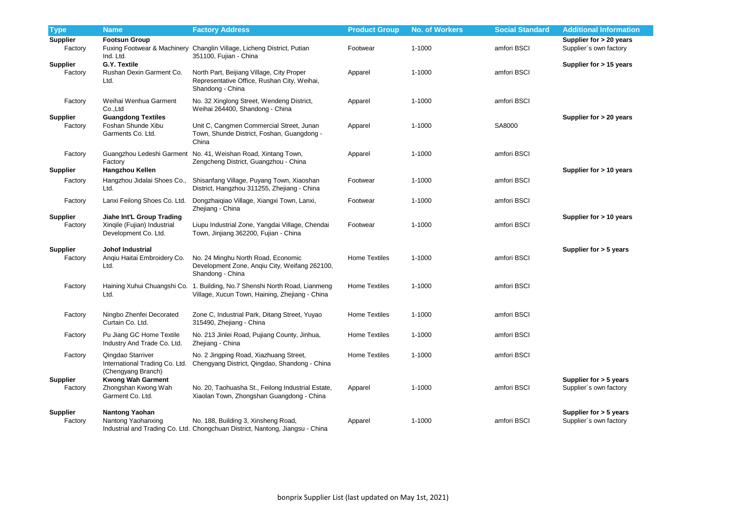| <b>Type</b>                | <b>Name</b>                                                                      | <b>Factory Address</b>                                                                                                       | <b>Product Group</b> | <b>No. of Workers</b> | <b>Social Standard</b> | <b>Additional Information</b>                      |
|----------------------------|----------------------------------------------------------------------------------|------------------------------------------------------------------------------------------------------------------------------|----------------------|-----------------------|------------------------|----------------------------------------------------|
| <b>Supplier</b><br>Factory | <b>Footsun Group</b><br>Ind. Ltd.                                                | Fuxing Footwear & Machinery Changlin Village, Licheng District, Putian<br>351100, Fujian - China                             | Footwear             | 1-1000                | amfori BSCI            | Supplier for > 20 years<br>Supplier's own factory  |
| <b>Supplier</b><br>Factory | <b>G.Y. Textile</b><br>Rushan Dexin Garment Co.<br>Ltd.                          | North Part, Beijiang Village, City Proper<br>Representative Office, Rushan City, Weihai,<br>Shandong - China                 | Apparel              | 1-1000                | amfori BSCI            | Supplier for > 15 years                            |
| Factory                    | Weihai Wenhua Garment<br>Co.,Ltd                                                 | No. 32 Xinglong Street, Wendeng District,<br>Weihai 264400, Shandong - China                                                 | Apparel              | 1-1000                | amfori BSCI            |                                                    |
| <b>Supplier</b><br>Factory | <b>Guangdong Textiles</b><br>Foshan Shunde Xibu<br>Garments Co. Ltd.             | Unit C, Cangmen Commercial Street, Junan<br>Town, Shunde District, Foshan, Guangdong -<br>China                              | Apparel              | 1-1000                | SA8000                 | Supplier for > 20 years                            |
| Factory<br><b>Supplier</b> | Factory<br><b>Hangzhou Kellen</b>                                                | Guangzhou Ledeshi Garment No. 41, Weishan Road, Xintang Town,<br>Zengcheng District, Guangzhou - China                       | Apparel              | 1-1000                | amfori BSCI            | Supplier for $> 10$ years                          |
| Factory                    | Hangzhou Jidalai Shoes Co.,<br>Ltd.                                              | Shisanfang Village, Puyang Town, Xiaoshan<br>District, Hangzhou 311255, Zhejiang - China                                     | Footwear             | 1-1000                | amfori BSCI            |                                                    |
| Factory                    | Lanxi Feilong Shoes Co. Ltd.                                                     | Dongzhaiqiao Village, Xiangxi Town, Lanxi,<br>Zhejiang - China                                                               | Footwear             | 1-1000                | amfori BSCI            |                                                    |
| <b>Supplier</b><br>Factory | Jiahe Int'L Group Trading<br>Xinqile (Fujian) Industrial<br>Development Co. Ltd. | Liupu Industrial Zone, Yangdai Village, Chendai<br>Town, Jinjiang 362200, Fujian - China                                     | Footwear             | 1-1000                | amfori BSCI            | Supplier for > 10 years                            |
| <b>Supplier</b><br>Factory | Johof Industrial<br>Anqiu Haitai Embroidery Co.<br>Ltd.                          | No. 24 Minghu North Road, Economic<br>Development Zone, Anqiu City, Weifang 262100,<br>Shandong - China                      | <b>Home Textiles</b> | 1-1000                | amfori BSCI            | Supplier for > 5 years                             |
| Factory                    | Ltd.                                                                             | Haining Xuhui Chuangshi Co. 1. Building, No.7 Shenshi North Road, Lianmeng<br>Village, Xucun Town, Haining, Zhejiang - China | <b>Home Textiles</b> | 1-1000                | amfori BSCI            |                                                    |
| Factory                    | Ningbo Zhenfei Decorated<br>Curtain Co. Ltd.                                     | Zone C, Industrial Park, Ditang Street, Yuyao<br>315490, Zhejiang - China                                                    | <b>Home Textiles</b> | 1-1000                | amfori BSCI            |                                                    |
| Factory                    | Pu Jiang GC Home Textile<br>Industry And Trade Co. Ltd.                          | No. 213 Jinlei Road, Pujiang County, Jinhua,<br>Zhejiang - China                                                             | <b>Home Textiles</b> | 1-1000                | amfori BSCI            |                                                    |
| Factory                    | Qingdao Starriver<br>International Trading Co. Ltd.<br>(Chengyang Branch)        | No. 2 Jingping Road, Xiazhuang Street,<br>Chengyang District, Qingdao, Shandong - China                                      | <b>Home Textiles</b> | 1-1000                | amfori BSCI            |                                                    |
| <b>Supplier</b><br>Factory | <b>Kwong Wah Garment</b><br>Zhongshan Kwong Wah<br>Garment Co. Ltd.              | No. 20, Taohuasha St., Feilong Industrial Estate,<br>Xiaolan Town, Zhongshan Guangdong - China                               | Apparel              | 1-1000                | amfori BSCI            | Supplier for $> 5$ years<br>Supplier's own factory |
| <b>Supplier</b><br>Factory | <b>Nantong Yaohan</b><br>Nantong Yaohanxing                                      | No. 188, Building 3, Xinsheng Road,<br>Industrial and Trading Co. Ltd. Chongchuan District, Nantong, Jiangsu - China         | Apparel              | $1 - 1000$            | amfori BSCI            | Supplier for $> 5$ years<br>Supplier's own factory |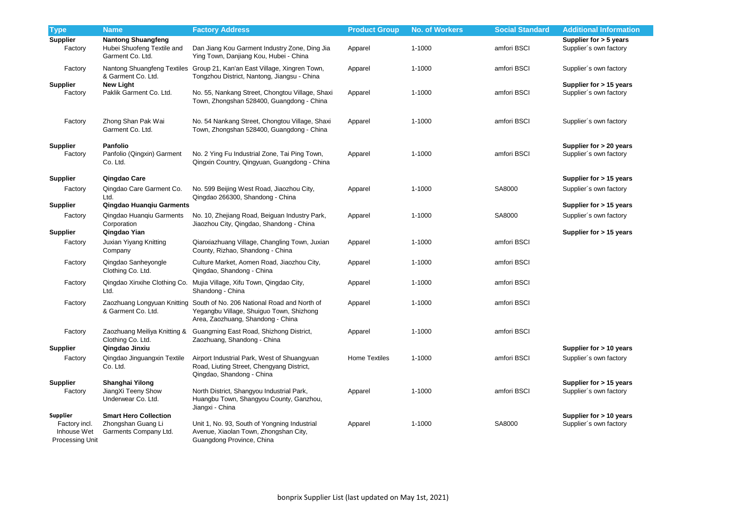| <b>Type</b>                                                               | <b>Name</b>                                                                 | <b>Factory Address</b>                                                                                                                                   | <b>Product Group</b> | <b>No. of Workers</b> | <b>Social Standard</b> | <b>Additional Information</b>                     |
|---------------------------------------------------------------------------|-----------------------------------------------------------------------------|----------------------------------------------------------------------------------------------------------------------------------------------------------|----------------------|-----------------------|------------------------|---------------------------------------------------|
| <b>Supplier</b><br>Factory                                                | <b>Nantong Shuangfeng</b><br>Hubei Shuofeng Textile and<br>Garment Co. Ltd. | Dan Jiang Kou Garment Industry Zone, Ding Jia<br>Ying Town, Danjiang Kou, Hubei - China                                                                  | Apparel              | $1 - 1000$            | amfori BSCI            | Supplier for > 5 years<br>Supplier's own factory  |
| Factory                                                                   | & Garment Co. Ltd.                                                          | Nantong Shuangfeng Textiles Group 21, Kan'an East Village, Xingren Town,<br>Tongzhou District, Nantong, Jiangsu - China                                  | Apparel              | 1-1000                | amfori BSCI            | Supplier's own factory                            |
| <b>Supplier</b><br>Factory                                                | <b>New Light</b><br>Paklik Garment Co. Ltd.                                 | No. 55, Nankang Street, Chongtou Village, Shaxi<br>Town, Zhongshan 528400, Guangdong - China                                                             | Apparel              | 1-1000                | amfori BSCI            | Supplier for > 15 years<br>Supplier's own factory |
| Factory                                                                   | Zhong Shan Pak Wai<br>Garment Co. Ltd.                                      | No. 54 Nankang Street, Chongtou Village, Shaxi<br>Town, Zhongshan 528400, Guangdong - China                                                              | Apparel              | $1 - 1000$            | amfori BSCI            | Supplier's own factory                            |
| <b>Supplier</b><br>Factory                                                | Panfolio<br>Panfolio (Qingxin) Garment<br>Co. Ltd.                          | No. 2 Ying Fu Industrial Zone, Tai Ping Town,<br>Qingxin Country, Qingyuan, Guangdong - China                                                            | Apparel              | 1-1000                | amfori BSCI            | Supplier for > 20 years<br>Supplier's own factory |
| <b>Supplier</b>                                                           | Qingdao Care                                                                |                                                                                                                                                          |                      |                       |                        | Supplier for > 15 years                           |
| Factory                                                                   | Qingdao Care Garment Co.<br>Ltd.                                            | No. 599 Beijing West Road, Jiaozhou City,<br>Qingdao 266300, Shandong - China                                                                            | Apparel              | 1-1000                | SA8000                 | Supplier's own factory                            |
| <b>Supplier</b>                                                           | Qingdao Huanqiu Garments                                                    |                                                                                                                                                          |                      |                       |                        | Supplier for > 15 years                           |
| Factory<br><b>Supplier</b>                                                | Qingdao Huanqiu Garments<br>Corporation<br>Qingdao Yian                     | No. 10, Zhejiang Road, Beiguan Industry Park,<br>Jiaozhou City, Qingdao, Shandong - China                                                                | Apparel              | 1-1000                | SA8000                 | Supplier's own factory<br>Supplier for > 15 years |
| Factory                                                                   | Juxian Yiyang Knitting<br>Company                                           | Qianxiazhuang Village, Changling Town, Juxian<br>County, Rizhao, Shandong - China                                                                        | Apparel              | $1 - 1000$            | amfori BSCI            |                                                   |
| Factory                                                                   | Qingdao Sanheyongle<br>Clothing Co. Ltd.                                    | Culture Market, Aomen Road, Jiaozhou City,<br>Qingdao, Shandong - China                                                                                  | Apparel              | $1 - 1000$            | amfori BSCI            |                                                   |
| Factory                                                                   | Ltd.                                                                        | Qingdao Xinxihe Clothing Co. Mujia Village, Xifu Town, Qingdao City,<br>Shandong - China                                                                 | Apparel              | $1 - 1000$            | amfori BSCI            |                                                   |
| Factory                                                                   | & Garment Co. Ltd.                                                          | Zaozhuang Longyuan Knitting South of No. 206 National Road and North of<br>Yegangbu Village, Shuiguo Town, Shizhong<br>Area, Zaozhuang, Shandong - China | Apparel              | $1 - 1000$            | amfori BSCI            |                                                   |
| Factory                                                                   | Zaozhuang Meiliya Knitting &<br>Clothing Co. Ltd.                           | Guangming East Road, Shizhong District,<br>Zaozhuang, Shandong - China                                                                                   | Apparel              | 1-1000                | amfori BSCI            |                                                   |
| <b>Supplier</b>                                                           | Qingdao Jinxiu                                                              |                                                                                                                                                          |                      |                       |                        | Supplier for > 10 years                           |
| Factory                                                                   | Qingdao Jinguangxin Textile<br>Co. Ltd.                                     | Airport Industrial Park, West of Shuangyuan<br>Road, Liuting Street, Chengyang District,<br>Qingdao, Shandong - China                                    | Home Textiles        | $1 - 1000$            | amfori BSCI            | Supplier's own factory                            |
| <b>Supplier</b><br>Factory                                                | Shanghai Yilong<br>JiangXi Teeny Show<br>Underwear Co. Ltd.                 | North District, Shangyou Industrial Park,<br>Huangbu Town, Shangyou County, Ganzhou,<br>Jiangxi - China                                                  | Apparel              | $1 - 1000$            | amfori BSCI            | Supplier for > 15 years<br>Supplier's own factory |
| <b>Supplier</b><br>Factory incl.<br>Inhouse Wet<br><b>Processing Unit</b> | <b>Smart Hero Collection</b><br>Zhongshan Guang Li<br>Garments Company Ltd. | Unit 1, No. 93, South of Yongning Industrial<br>Avenue, Xiaolan Town, Zhongshan City,<br>Guangdong Province, China                                       | Apparel              | $1 - 1000$            | SA8000                 | Supplier for > 10 years<br>Supplier's own factory |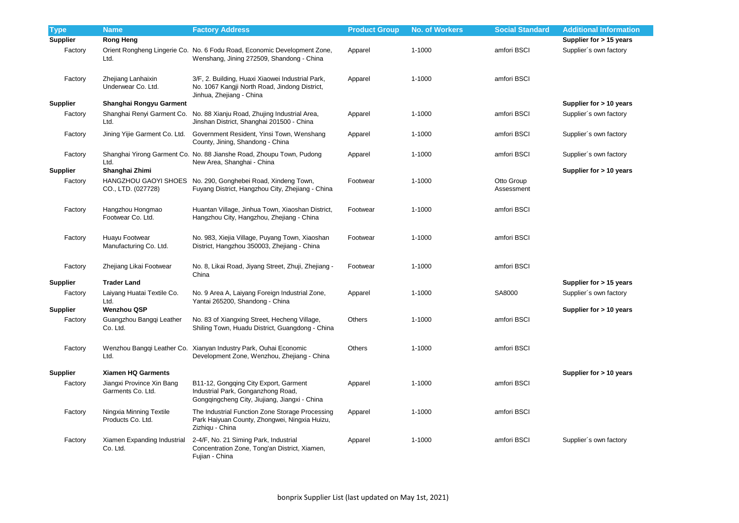| <b>Type</b>     | <b>Name</b>                                    | <b>Factory Address</b>                                                                                                        | <b>Product Group</b> | <b>No. of Workers</b> | <b>Social Standard</b>   | <b>Additional Information</b> |
|-----------------|------------------------------------------------|-------------------------------------------------------------------------------------------------------------------------------|----------------------|-----------------------|--------------------------|-------------------------------|
| <b>Supplier</b> | <b>Rong Heng</b>                               |                                                                                                                               |                      |                       |                          | Supplier for > 15 years       |
| Factory         | Ltd.                                           | Orient Rongheng Lingerie Co. No. 6 Fodu Road, Economic Development Zone,<br>Wenshang, Jining 272509, Shandong - China         | Apparel              | 1-1000                | amfori BSCI              | Supplier's own factory        |
| Factory         | Zhejiang Lanhaixin<br>Underwear Co. Ltd.       | 3/F, 2. Building, Huaxi Xiaowei Industrial Park,<br>No. 1067 Kangji North Road, Jindong District,<br>Jinhua, Zhejiang - China | Apparel              | 1-1000                | amfori BSCI              |                               |
| <b>Supplier</b> | Shanghai Rongyu Garment                        |                                                                                                                               |                      |                       |                          | Supplier for > 10 years       |
| Factory         | Ltd.                                           | Shanghai Renyi Garment Co. No. 88 Xianju Road, Zhujing Industrial Area,<br>Jinshan District, Shanghai 201500 - China          | Apparel              | 1-1000                | amfori BSCI              | Supplier's own factory        |
| Factory         | Jining Yijie Garment Co. Ltd.                  | Government Resident, Yinsi Town, Wenshang<br>County, Jining, Shandong - China                                                 | Apparel              | 1-1000                | amfori BSCI              | Supplier's own factory        |
| Factory         | Ltd.                                           | Shanghai Yirong Garment Co. No. 88 Jianshe Road, Zhoupu Town, Pudong<br>New Area, Shanghai - China                            | Apparel              | 1-1000                | amfori BSCI              | Supplier's own factory        |
| <b>Supplier</b> | Shanghai Zhimi                                 |                                                                                                                               |                      |                       |                          | Supplier for > 10 years       |
| Factory         | CO., LTD. (027728)                             | HANGZHOU GAOYI SHOES No. 290, Gonghebei Road, Xindeng Town,<br>Fuyang District, Hangzhou City, Zhejiang - China               | Footwear             | 1-1000                | Otto Group<br>Assessment |                               |
| Factory         | Hangzhou Hongmao<br>Footwear Co. Ltd.          | Huantan Village, Jinhua Town, Xiaoshan District,<br>Hangzhou City, Hangzhou, Zhejiang - China                                 | Footwear             | 1-1000                | amfori BSCI              |                               |
| Factory         | Huayu Footwear<br>Manufacturing Co. Ltd.       | No. 983, Xiejia Village, Puyang Town, Xiaoshan<br>District, Hangzhou 350003, Zhejiang - China                                 | Footwear             | 1-1000                | amfori BSCI              |                               |
| Factory         | Zhejiang Likai Footwear                        | No. 8, Likai Road, Jiyang Street, Zhuji, Zhejiang -<br>China                                                                  | Footwear             | 1-1000                | amfori BSCI              |                               |
| <b>Supplier</b> | <b>Trader Land</b>                             |                                                                                                                               |                      |                       |                          | Supplier for > 15 years       |
| Factory         | Laiyang Huatai Textile Co.<br>Ltd.             | No. 9 Area A, Laiyang Foreign Industrial Zone,<br>Yantai 265200, Shandong - China                                             | Apparel              | 1-1000                | SA8000                   | Supplier's own factory        |
| <b>Supplier</b> | <b>Wenzhou QSP</b>                             |                                                                                                                               |                      |                       |                          | Supplier for $> 10$ years     |
| Factory         | Guangzhou Bangqi Leather<br>Co. Ltd.           | No. 83 of Xiangxing Street, Hecheng Village,<br>Shiling Town, Huadu District, Guangdong - China                               | Others               | 1-1000                | amfori BSCI              |                               |
| Factory         | Ltd.                                           | Wenzhou Bangqi Leather Co. Xianyan Industry Park, Ouhai Economic<br>Development Zone, Wenzhou, Zhejiang - China               | Others               | 1-1000                | amfori BSCI              |                               |
| <b>Supplier</b> | <b>Xiamen HQ Garments</b>                      |                                                                                                                               |                      |                       |                          | Supplier for > 10 years       |
| Factory         | Jiangxi Province Xin Bang<br>Garments Co. Ltd. | B11-12, Gongqing City Export, Garment<br>Industrial Park, Gonganzhong Road,<br>Gongqingcheng City, Jiujiang, Jiangxi - China  | Apparel              | $1 - 1000$            | amfori BSCI              |                               |
| Factory         | Ningxia Minning Textile<br>Products Co. Ltd.   | The Industrial Function Zone Storage Processing<br>Park Haiyuan County, Zhongwei, Ningxia Huizu,<br>Zizhiqu - China           | Apparel              | $1 - 1000$            | amfori BSCI              |                               |
| Factory         | Xiamen Expanding Industrial<br>Co. Ltd.        | 2-4/F, No. 21 Siming Park, Industrial<br>Concentration Zone, Tong'an District, Xiamen,<br>Fujian - China                      | Apparel              | 1-1000                | amfori BSCI              | Supplier's own factory        |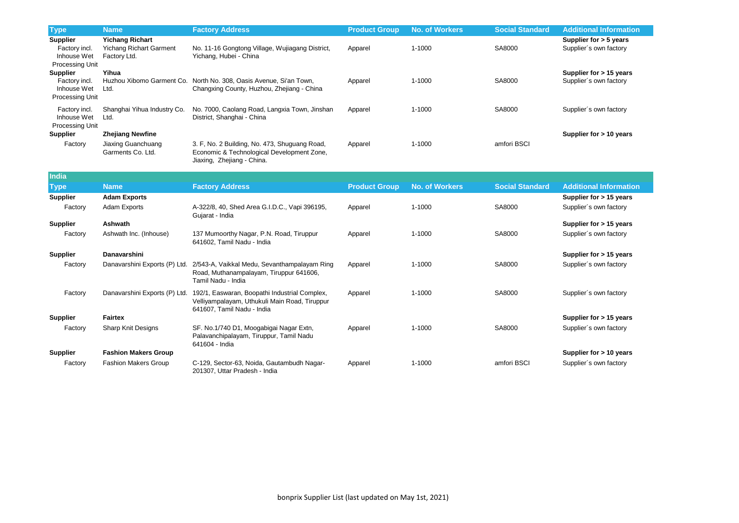| <b>Type</b>                                                        | <b>Name</b>                                                              | <b>Factory Address</b>                                                                                                       | <b>Product Group</b> | <b>No. of Workers</b> | <b>Social Standard</b> | <b>Additional Information</b>                     |
|--------------------------------------------------------------------|--------------------------------------------------------------------------|------------------------------------------------------------------------------------------------------------------------------|----------------------|-----------------------|------------------------|---------------------------------------------------|
| <b>Supplier</b><br>Factory incl.<br>Inhouse Wet<br>Processing Unit | <b>Yichang Richart</b><br><b>Yichang Richart Garment</b><br>Factory Ltd. | No. 11-16 Gongtong Village, Wujiagang District,<br>Yichang, Hubei - China                                                    | Apparel              | $1 - 1000$            | SA8000                 | Supplier for > 5 years<br>Supplier's own factory  |
| <b>Supplier</b><br>Factory incl.<br>Inhouse Wet<br>Processing Unit | Yihua<br>Ltd.                                                            | Huzhou Xibomo Garment Co. North No. 308, Oasis Avenue, Si'an Town,<br>Changxing County, Huzhou, Zhejiang - China             | Apparel              | 1-1000                | SA8000                 | Supplier for > 15 years<br>Supplier's own factory |
| Factory incl.<br>Inhouse Wet<br>Processing Unit                    | Shanghai Yihua Industry Co.<br>Ltd.                                      | No. 7000, Caolang Road, Langxia Town, Jinshan<br>District, Shanghai - China                                                  | Apparel              | 1-1000                | SA8000                 | Supplier's own factory                            |
| <b>Supplier</b>                                                    | <b>Zhejiang Newfine</b>                                                  |                                                                                                                              |                      |                       |                        | Supplier for > 10 years                           |
| Factory                                                            | Jiaxing Guanchuang<br>Garments Co. Ltd.                                  | 3. F, No. 2 Building, No. 473, Shuguang Road,<br>Economic & Technological Development Zone,<br>Jiaxing, Zhejiang - China.    | Apparel              | 1-1000                | amfori BSCI            |                                                   |
| <b>India</b>                                                       |                                                                          |                                                                                                                              |                      |                       |                        |                                                   |
| <b>Type</b>                                                        | <b>Name</b>                                                              | <b>Factory Address</b>                                                                                                       | <b>Product Group</b> | <b>No. of Workers</b> | <b>Social Standard</b> | <b>Additional Information</b>                     |
| <b>Supplier</b>                                                    | <b>Adam Exports</b>                                                      |                                                                                                                              |                      |                       |                        | Supplier for $> 15$ years                         |
| Factory                                                            | <b>Adam Exports</b>                                                      | A-322/8, 40, Shed Area G.I.D.C., Vapi 396195,<br>Gujarat - India                                                             | Apparel              | 1-1000                | SA8000                 | Supplier's own factory                            |
| <b>Supplier</b>                                                    | Ashwath                                                                  |                                                                                                                              |                      |                       |                        | Supplier for > 15 years                           |
| Factory                                                            | Ashwath Inc. (Inhouse)                                                   | 137 Mumoorthy Nagar, P.N. Road, Tiruppur<br>641602, Tamil Nadu - India                                                       | Apparel              | 1-1000                | SA8000                 | Supplier's own factory                            |
| <b>Supplier</b>                                                    | <b>Danavarshini</b>                                                      |                                                                                                                              |                      |                       |                        | Supplier for > 15 years                           |
| Factory                                                            | Danavarshini Exports (P) Ltd.                                            | 2/543-A, Vaikkal Medu, Sevanthampalayam Ring<br>Road, Muthanampalayam, Tiruppur 641606,<br>Tamil Nadu - India                | Apparel              | 1-1000                | SA8000                 | Supplier's own factory                            |
| Factory                                                            | Danavarshini Exports (P) Ltd.                                            | 192/1, Easwaran, Boopathi Industrial Complex,<br>Velliyampalayam, Uthukuli Main Road, Tiruppur<br>641607, Tamil Nadu - India | Apparel              | 1-1000                | SA8000                 | Supplier's own factory                            |
| <b>Supplier</b>                                                    | <b>Fairtex</b>                                                           |                                                                                                                              |                      |                       |                        | Supplier for > 15 years                           |
| Factory                                                            | Sharp Knit Designs                                                       | SF. No.1/740 D1, Moogabigai Nagar Extn,<br>Palavanchipalayam, Tiruppur, Tamil Nadu<br>641604 - India                         | Apparel              | $1 - 1000$            | SA8000                 | Supplier's own factory                            |
| <b>Supplier</b>                                                    | <b>Fashion Makers Group</b>                                              |                                                                                                                              |                      |                       |                        | Supplier for > 10 years                           |
| Factory                                                            | <b>Fashion Makers Group</b>                                              | C-129, Sector-63, Noida, Gautambudh Nagar-<br>201307, Uttar Pradesh - India                                                  | Apparel              | 1-1000                | amfori BSCI            | Supplier's own factory                            |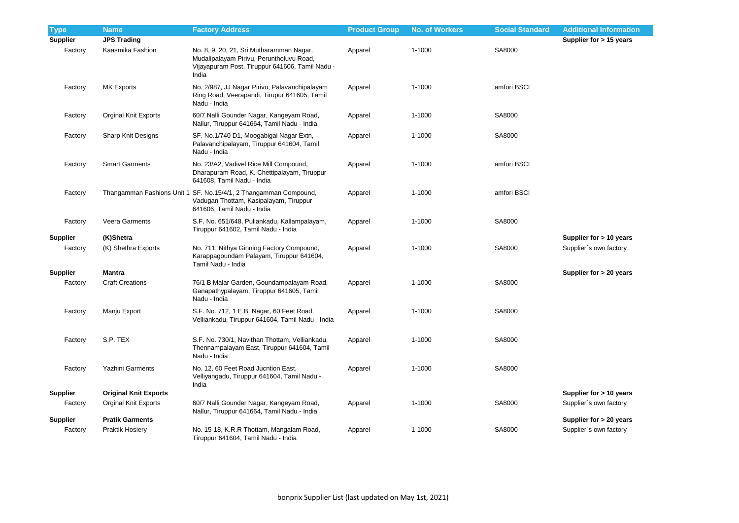| <b>Type</b>     | <b>Name</b>                  | <b>Factory Address</b>                                                                                                                           | <b>Product Group</b> | <b>No. of Workers</b> | <b>Social Standard</b> | <b>Additional Information</b> |
|-----------------|------------------------------|--------------------------------------------------------------------------------------------------------------------------------------------------|----------------------|-----------------------|------------------------|-------------------------------|
| <b>Supplier</b> | <b>JPS Trading</b>           |                                                                                                                                                  |                      |                       |                        | Supplier for > 15 years       |
| Factory         | Kaasmika Fashion             | No. 8, 9, 20, 21, Sri Mutharamman Nagar,<br>Mudalipalayam Pirivu, Peruntholuvu Road,<br>Vijayapuram Post, Tiruppur 641606, Tamil Nadu -<br>India | Apparel              | $1 - 1000$            | SA8000                 |                               |
| Factory         | <b>MK Exports</b>            | No. 2/987, JJ Nagar Pirivu, Palavanchipalayam<br>Ring Road, Veerapandi, Tirupur 641605, Tamil<br>Nadu - India                                    | Apparel              | $1 - 1000$            | amfori BSCI            |                               |
| Factory         | <b>Orginal Knit Exports</b>  | 60/7 Nalli Gounder Nagar, Kangeyam Road,<br>Nallur, Tiruppur 641664, Tamil Nadu - India                                                          | Apparel              | $1 - 1000$            | SA8000                 |                               |
| Factory         | <b>Sharp Knit Designs</b>    | SF. No.1/740 D1, Moogabigai Nagar Extn,<br>Palavanchipalayam, Tiruppur 641604, Tamil<br>Nadu - India                                             | Apparel              | 1-1000                | SA8000                 |                               |
| Factory         | <b>Smart Garments</b>        | No. 23/A2, Vadivel Rice Mill Compound,<br>Dharapuram Road, K. Chettipalayam, Tiruppur<br>641608, Tamil Nadu - India                              | Apparel              | $1 - 1000$            | amfori BSCI            |                               |
| Factory         |                              | Thangamman Fashions Unit 1 SF. No.15/4/1, 2 Thangamman Compound,<br>Vadugan Thottam, Kasipalayam, Tiruppur<br>641606, Tamil Nadu - India         | Apparel              | $1 - 1000$            | amfori BSCI            |                               |
| Factory         | Veera Garments               | S.F. No. 651/648, Puliankadu, Kallampalayam,<br>Tiruppur 641602, Tamil Nadu - India                                                              | Apparel              | 1-1000                | SA8000                 |                               |
| <b>Supplier</b> | (K)Shetra                    |                                                                                                                                                  |                      |                       |                        | Supplier for > 10 years       |
| Factory         | (K) Shethra Exports          | No. 711, Nithya Ginning Factory Compound,<br>Karappagoundam Palayam, Tiruppur 641604,<br>Tamil Nadu - India                                      | Apparel              | $1 - 1000$            | SA8000                 | Supplier's own factory        |
| <b>Supplier</b> | <b>Mantra</b>                |                                                                                                                                                  |                      |                       |                        | Supplier for > 20 years       |
| Factory         | <b>Craft Creations</b>       | 76/1 B Malar Garden, Goundampalayam Road,<br>Ganapathypalayam, Tiruppur 641605, Tamil<br>Nadu - India                                            | Apparel              | 1-1000                | SA8000                 |                               |
| Factory         | Manju Export                 | S.F. No. 712, 1 E.B. Nagar, 60 Feet Road,<br>Velliankadu, Tiruppur 641604, Tamil Nadu - India                                                    | Apparel              | 1-1000                | SA8000                 |                               |
| Factory         | S.P. TEX                     | S.F. No. 730/1, Navithan Thottam, Velliankadu,<br>Thennampalayam East, Tiruppur 641604, Tamil<br>Nadu - India                                    | Apparel              | 1-1000                | SA8000                 |                               |
| Factory         | Yazhini Garments             | No. 12, 60 Feet Road Jucntion East,<br>Velliyangadu, Tiruppur 641604, Tamil Nadu -<br>India                                                      | Apparel              | $1 - 1000$            | SA8000                 |                               |
| <b>Supplier</b> | <b>Original Knit Exports</b> |                                                                                                                                                  |                      |                       |                        | Supplier for > 10 years       |
| Factory         | Orginal Knit Exports         | 60/7 Nalli Gounder Nagar, Kangeyam Road,<br>Nallur, Tiruppur 641664, Tamil Nadu - India                                                          | Apparel              | 1-1000                | SA8000                 | Supplier's own factory        |
| <b>Supplier</b> | <b>Pratik Garments</b>       |                                                                                                                                                  |                      |                       |                        | Supplier for > 20 years       |
| Factory         | Praktik Hosiery              | No. 15-18, K.R.R Thottam, Mangalam Road,<br>Tiruppur 641604, Tamil Nadu - India                                                                  | Apparel              | $1 - 1000$            | SA8000                 | Supplier's own factory        |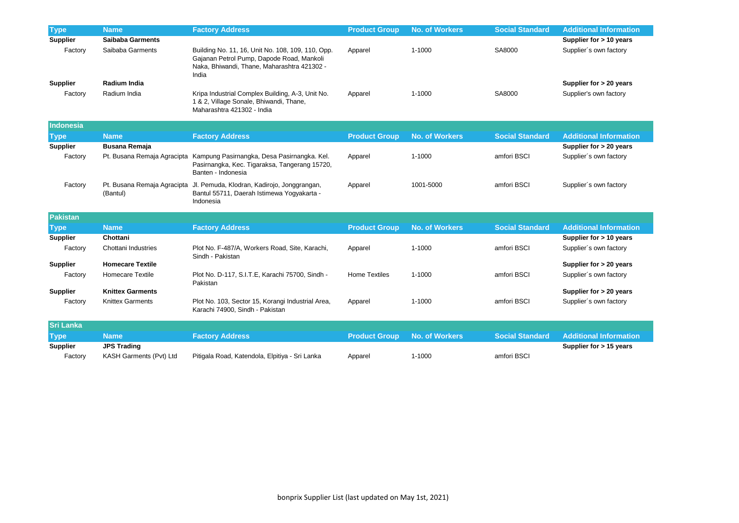| <b>Type</b>      | <b>Name</b>                             | <b>Factory Address</b>                                                                                                                                 | <b>Product Group</b> | <b>No. of Workers</b> | <b>Social Standard</b> | <b>Additional Information</b> |
|------------------|-----------------------------------------|--------------------------------------------------------------------------------------------------------------------------------------------------------|----------------------|-----------------------|------------------------|-------------------------------|
| <b>Supplier</b>  | <b>Saibaba Garments</b>                 |                                                                                                                                                        |                      |                       |                        | Supplier for > 10 years       |
| Factory          | Saibaba Garments                        | Building No. 11, 16, Unit No. 108, 109, 110, Opp.<br>Gajanan Petrol Pump, Dapode Road, Mankoli<br>Naka, Bhiwandi, Thane, Maharashtra 421302 -<br>India | Apparel              | $1 - 1000$            | SA8000                 | Supplier's own factory        |
| <b>Supplier</b>  | Radium India                            |                                                                                                                                                        |                      |                       |                        | Supplier for > 20 years       |
| Factory          | Radium India                            | Kripa Industrial Complex Building, A-3, Unit No.<br>1 & 2, Village Sonale, Bhiwandi, Thane,<br>Maharashtra 421302 - India                              | Apparel              | 1-1000                | SA8000                 | Supplier's own factory        |
| Indonesia        |                                         |                                                                                                                                                        |                      |                       |                        |                               |
| <b>Type</b>      | <b>Name</b>                             | <b>Factory Address</b>                                                                                                                                 | <b>Product Group</b> | <b>No. of Workers</b> | <b>Social Standard</b> | <b>Additional Information</b> |
| <b>Supplier</b>  | <b>Busana Remaja</b>                    |                                                                                                                                                        |                      |                       |                        | Supplier for > 20 years       |
| Factory          |                                         | Pt. Busana Remaja Agracipta Kampung Pasirnangka, Desa Pasirnangka. Kel.<br>Pasirnangka, Kec. Tigaraksa, Tangerang 15720,<br>Banten - Indonesia         | Apparel              | $1 - 1000$            | amfori BSCI            | Supplier's own factory        |
| Factory          | Pt. Busana Remaja Agracipta<br>(Bantul) | Jl. Pemuda, Klodran, Kadirojo, Jonggrangan,<br>Bantul 55711, Daerah Istimewa Yogyakarta -<br>Indonesia                                                 | Apparel              | 1001-5000             | amfori BSCI            | Supplier's own factory        |
| <b>Pakistan</b>  |                                         |                                                                                                                                                        |                      |                       |                        |                               |
| <b>Type</b>      | <b>Name</b>                             | <b>Factory Address</b>                                                                                                                                 | <b>Product Group</b> | <b>No. of Workers</b> | <b>Social Standard</b> | <b>Additional Information</b> |
| <b>Supplier</b>  | Chottani                                |                                                                                                                                                        |                      |                       |                        | Supplier for > 10 years       |
| Factory          | Chottani Industries                     | Plot No. F-487/A, Workers Road, Site, Karachi,<br>Sindh - Pakistan                                                                                     | Apparel              | 1-1000                | amfori BSCI            | Supplier's own factory        |
| <b>Supplier</b>  | <b>Homecare Textile</b>                 |                                                                                                                                                        |                      |                       |                        | Supplier for > 20 years       |
| Factory          | Homecare Textile                        | Plot No. D-117, S.I.T.E, Karachi 75700, Sindh -<br>Pakistan                                                                                            | <b>Home Textiles</b> | $1 - 1000$            | amfori BSCI            | Supplier's own factory        |
| <b>Supplier</b>  | <b>Knittex Garments</b>                 |                                                                                                                                                        |                      |                       |                        | Supplier for > 20 years       |
| Factory          | <b>Knittex Garments</b>                 | Plot No. 103, Sector 15, Korangi Industrial Area,<br>Karachi 74900, Sindh - Pakistan                                                                   | Apparel              | $1 - 1000$            | amfori BSCI            | Supplier's own factory        |
| <b>Sri Lanka</b> |                                         |                                                                                                                                                        |                      |                       |                        |                               |
| <b>Type</b>      | <b>Name</b>                             | <b>Factory Address</b>                                                                                                                                 | <b>Product Group</b> | <b>No. of Workers</b> | <b>Social Standard</b> | <b>Additional Information</b> |
| <b>Supplier</b>  | <b>JPS Trading</b>                      |                                                                                                                                                        |                      |                       |                        | Supplier for > 15 years       |
| Factory          | KASH Garments (Pvt) Ltd                 | Pitigala Road, Katendola, Elpitiya - Sri Lanka                                                                                                         | Apparel              | 1-1000                | amfori BSCI            |                               |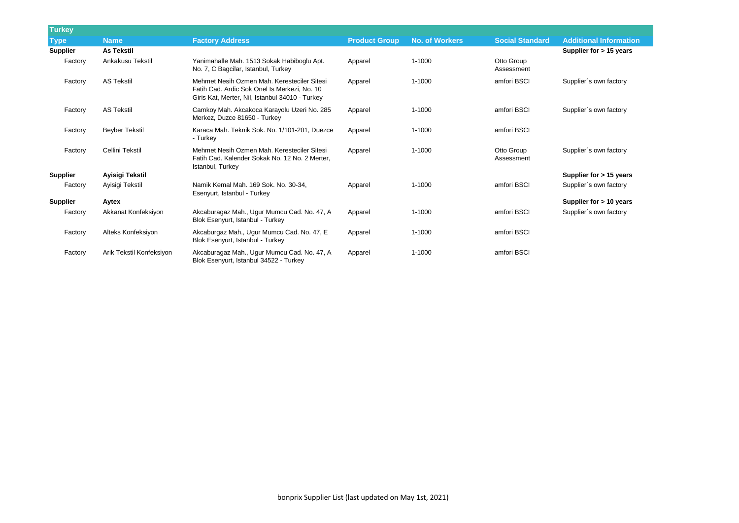| <b>Turkey</b>   |                          |                                                                                                                                                |                      |                       |                          |                               |
|-----------------|--------------------------|------------------------------------------------------------------------------------------------------------------------------------------------|----------------------|-----------------------|--------------------------|-------------------------------|
| <b>Type</b>     | <b>Name</b>              | <b>Factory Address</b>                                                                                                                         | <b>Product Group</b> | <b>No. of Workers</b> | <b>Social Standard</b>   | <b>Additional Information</b> |
| <b>Supplier</b> | <b>As Tekstil</b>        |                                                                                                                                                |                      |                       |                          | Supplier for $> 15$ years     |
| Factory         | Ankakusu Tekstil         | Yanimahalle Mah. 1513 Sokak Habiboglu Apt.<br>No. 7, C Bagcilar, Istanbul, Turkey                                                              | Apparel              | 1-1000                | Otto Group<br>Assessment |                               |
| Factory         | <b>AS Tekstil</b>        | Mehmet Nesih Ozmen Mah. Keresteciler Sitesi<br>Fatih Cad. Ardic Sok Onel Is Merkezi, No. 10<br>Giris Kat, Merter, Nil, Istanbul 34010 - Turkey | Apparel              | 1-1000                | amfori BSCI              | Supplier's own factory        |
| Factory         | <b>AS Tekstil</b>        | Camkoy Mah. Akcakoca Karayolu Uzeri No. 285<br>Merkez, Duzce 81650 - Turkey                                                                    | Apparel              | $1 - 1000$            | amfori BSCI              | Supplier's own factory        |
| Factory         | <b>Beyber Tekstil</b>    | Karaca Mah. Teknik Sok. No. 1/101-201, Duezce<br>- Turkey                                                                                      | Apparel              | $1 - 1000$            | amfori BSCI              |                               |
| Factory         | Cellini Tekstil          | Mehmet Nesih Ozmen Mah. Keresteciler Sitesi<br>Fatih Cad. Kalender Sokak No. 12 No. 2 Merter,<br>Istanbul, Turkey                              | Apparel              | $1 - 1000$            | Otto Group<br>Assessment | Supplier's own factory        |
| <b>Supplier</b> | Ayisigi Tekstil          |                                                                                                                                                |                      |                       |                          | Supplier for $> 15$ years     |
| Factory         | Ayisigi Tekstil          | Namik Kemal Mah. 169 Sok. No. 30-34,<br>Esenyurt, Istanbul - Turkey                                                                            | Apparel              | $1 - 1000$            | amfori BSCI              | Supplier's own factory        |
| <b>Supplier</b> | Aytex                    |                                                                                                                                                |                      |                       |                          | Supplier for > 10 years       |
| Factory         | Akkanat Konfeksiyon      | Akcaburagaz Mah., Ugur Mumcu Cad. No. 47, A<br>Blok Esenyurt, Istanbul - Turkey                                                                | Apparel              | $1 - 1000$            | amfori BSCI              | Supplier's own factory        |
| Factory         | Alteks Konfeksiyon       | Akcaburgaz Mah., Ugur Mumcu Cad. No. 47, E<br>Blok Esenyurt, Istanbul - Turkey                                                                 | Apparel              | 1-1000                | amfori BSCI              |                               |
| Factory         | Arik Tekstil Konfeksiyon | Akcaburagaz Mah., Ugur Mumcu Cad. No. 47, A<br>Blok Esenyurt, Istanbul 34522 - Turkey                                                          | Apparel              | 1-1000                | amfori BSCI              |                               |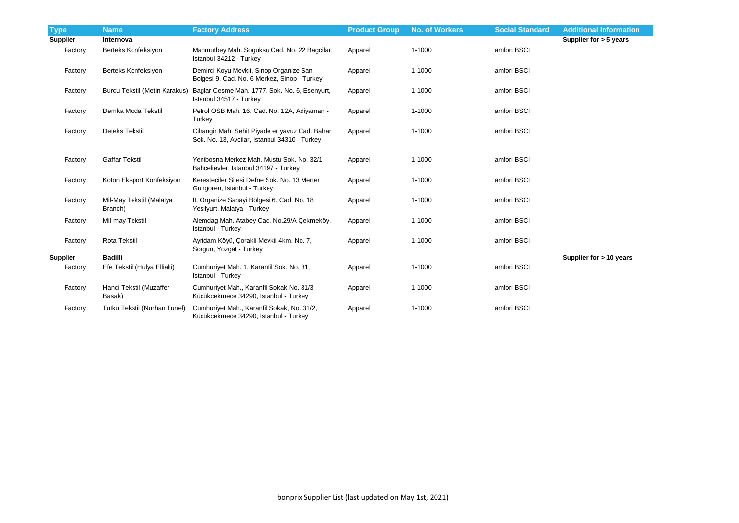| <b>Type</b>     | <b>Name</b>                         | <b>Factory Address</b>                                                                          | <b>Product Group</b> | <b>No. of Workers</b> | <b>Social Standard</b> | <b>Additional Information</b> |
|-----------------|-------------------------------------|-------------------------------------------------------------------------------------------------|----------------------|-----------------------|------------------------|-------------------------------|
| <b>Supplier</b> | Internova                           |                                                                                                 |                      |                       |                        | Supplier for $>$ 5 years      |
| Factory         | Berteks Konfeksiyon                 | Mahmutbey Mah. Soguksu Cad. No. 22 Bagcilar,<br>Istanbul 34212 - Turkey                         | Apparel              | $1 - 1000$            | amfori BSCI            |                               |
| Factory         | Berteks Konfeksiyon                 | Demirci Koyu Mevkii, Sinop Organize San<br>Bolgesi 9. Cad. No. 6 Merkez, Sinop - Turkey         | Apparel              | 1-1000                | amfori BSCI            |                               |
| Factory         | Burcu Tekstil (Metin Karakus)       | Baglar Cesme Mah. 1777. Sok. No. 6, Esenyurt,<br>Istanbul 34517 - Turkey                        | Apparel              | $1 - 1000$            | amfori BSCI            |                               |
| Factory         | Demka Moda Tekstil                  | Petrol OSB Mah. 16. Cad. No. 12A, Adiyaman -<br>Turkey                                          | Apparel              | 1-1000                | amfori BSCI            |                               |
| Factory         | <b>Deteks Tekstil</b>               | Cihangir Mah. Sehit Piyade er yavuz Cad. Bahar<br>Sok. No. 13, Avcilar, Istanbul 34310 - Turkey | Apparel              | 1-1000                | amfori BSCI            |                               |
| Factory         | <b>Gaffar Tekstil</b>               | Yenibosna Merkez Mah. Mustu Sok. No. 32/1<br>Bahcelievler, Istanbul 34197 - Turkey              | Apparel              | $1 - 1000$            | amfori BSCI            |                               |
| Factory         | Koton Eksport Konfeksiyon           | Keresteciler Sitesi Defne Sok. No. 13 Merter<br>Gungoren, Istanbul - Turkey                     | Apparel              | 1-1000                | amfori BSCI            |                               |
| Factory         | Mil-May Tekstil (Malatya<br>Branch) | II. Organize Sanayi Bölgesi 6. Cad. No. 18<br>Yesilyurt, Malatya - Turkey                       | Apparel              | $1 - 1000$            | amfori BSCI            |                               |
| Factory         | Mil-may Tekstil                     | Alemdag Mah. Atabey Cad. No.29/A Çekmeköy,<br>Istanbul - Turkey                                 | Apparel              | $1 - 1000$            | amfori BSCI            |                               |
| Factory         | <b>Rota Tekstil</b>                 | Ayridam Köyü, Çorakli Mevkii 4km. No. 7,<br>Sorgun, Yozgat - Turkey                             | Apparel              | $1 - 1000$            | amfori BSCI            |                               |
| <b>Supplier</b> | <b>Badilli</b>                      |                                                                                                 |                      |                       |                        | Supplier for > 10 years       |
| Factory         | Efe Tekstil (Hulya Ellialti)        | Cumhuriyet Mah. 1. Karanfil Sok. No. 31,<br>Istanbul - Turkey                                   | Apparel              | $1 - 1000$            | amfori BSCI            |                               |
| Factory         | Hanci Tekstil (Muzaffer<br>Basak)   | Cumhuriyet Mah., Karanfil Sokak No. 31/3<br>Kücükcekmece 34290, Istanbul - Turkey               | Apparel              | $1 - 1000$            | amfori BSCI            |                               |
| Factory         | Tutku Tekstil (Nurhan Tunel)        | Cumhuriyet Mah., Karanfil Sokak, No. 31/2,<br>Kücükcekmece 34290, Istanbul - Turkey             | Apparel              | $1 - 1000$            | amfori BSCI            |                               |